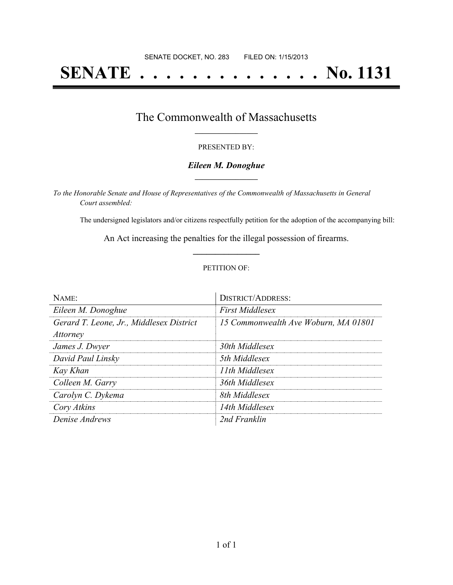# **SENATE . . . . . . . . . . . . . . No. 1131**

## The Commonwealth of Massachusetts **\_\_\_\_\_\_\_\_\_\_\_\_\_\_\_\_\_**

#### PRESENTED BY:

#### *Eileen M. Donoghue* **\_\_\_\_\_\_\_\_\_\_\_\_\_\_\_\_\_**

*To the Honorable Senate and House of Representatives of the Commonwealth of Massachusetts in General Court assembled:*

The undersigned legislators and/or citizens respectfully petition for the adoption of the accompanying bill:

An Act increasing the penalties for the illegal possession of firearms. **\_\_\_\_\_\_\_\_\_\_\_\_\_\_\_**

#### PETITION OF:

| $N$ AME:                                 | <b>DISTRICT/ADDRESS:</b>             |
|------------------------------------------|--------------------------------------|
| Eileen M. Donoghue                       | <b>First Middlesex</b>               |
| Gerard T. Leone, Jr., Middlesex District | 15 Commonwealth Ave Woburn, MA 01801 |
| <i>Attorney</i>                          |                                      |
| James J. Dwyer                           | 30th Middlesex                       |
| David Paul Linsky                        | 5th Middlesex                        |
| Kay Khan                                 | 11th Middlesex                       |
| Colleen M. Garry                         | 36th Middlesex                       |
| Carolyn C. Dykema                        | 8th Middlesex                        |
| Cory Atkins                              | 14th Middlesex                       |
| Denise Andrews                           | 2nd Franklin                         |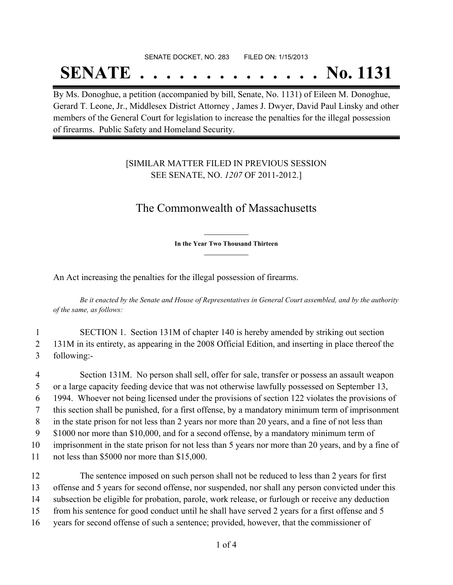# SENATE DOCKET, NO. 283 FILED ON: 1/15/2013 **SENATE . . . . . . . . . . . . . . No. 1131**

By Ms. Donoghue, a petition (accompanied by bill, Senate, No. 1131) of Eileen M. Donoghue, Gerard T. Leone, Jr., Middlesex District Attorney , James J. Dwyer, David Paul Linsky and other members of the General Court for legislation to increase the penalties for the illegal possession of firearms. Public Safety and Homeland Security.

### [SIMILAR MATTER FILED IN PREVIOUS SESSION SEE SENATE, NO. *1207* OF 2011-2012.]

# The Commonwealth of Massachusetts

**\_\_\_\_\_\_\_\_\_\_\_\_\_\_\_ In the Year Two Thousand Thirteen \_\_\_\_\_\_\_\_\_\_\_\_\_\_\_**

An Act increasing the penalties for the illegal possession of firearms.

Be it enacted by the Senate and House of Representatives in General Court assembled, and by the authority *of the same, as follows:*

- 1 SECTION 1. Section 131M of chapter 140 is hereby amended by striking out section 2 131M in its entirety, as appearing in the 2008 Official Edition, and inserting in place thereof the 3 following:-
- 4 Section 131M. No person shall sell, offer for sale, transfer or possess an assault weapon 5 or a large capacity feeding device that was not otherwise lawfully possessed on September 13, 6 1994. Whoever not being licensed under the provisions of section 122 violates the provisions of 7 this section shall be punished, for a first offense, by a mandatory minimum term of imprisonment 8 in the state prison for not less than 2 years nor more than 20 years, and a fine of not less than 9 \$1000 nor more than \$10,000, and for a second offense, by a mandatory minimum term of 10 imprisonment in the state prison for not less than 5 years nor more than 20 years, and by a fine of 11 not less than \$5000 nor more than \$15,000.
- 12 The sentence imposed on such person shall not be reduced to less than 2 years for first 13 offense and 5 years for second offense, nor suspended, nor shall any person convicted under this 14 subsection be eligible for probation, parole, work release, or furlough or receive any deduction 15 from his sentence for good conduct until he shall have served 2 years for a first offense and 5 16 years for second offense of such a sentence; provided, however, that the commissioner of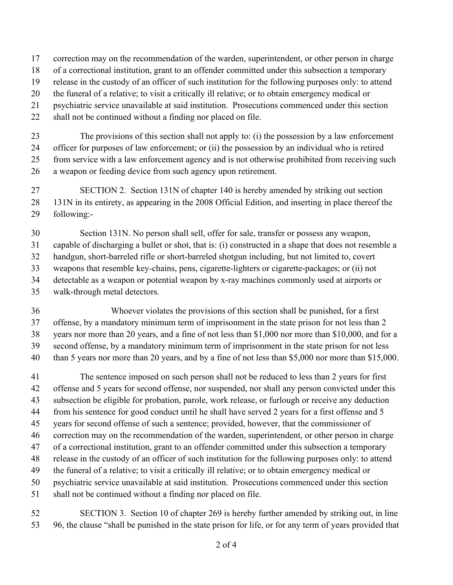correction may on the recommendation of the warden, superintendent, or other person in charge

- of a correctional institution, grant to an offender committed under this subsection a temporary
- release in the custody of an officer of such institution for the following purposes only: to attend

the funeral of a relative; to visit a critically ill relative; or to obtain emergency medical or

- psychiatric service unavailable at said institution. Prosecutions commenced under this section
- shall not be continued without a finding nor placed on file.

 The provisions of this section shall not apply to: (i) the possession by a law enforcement officer for purposes of law enforcement; or (ii) the possession by an individual who is retired from service with a law enforcement agency and is not otherwise prohibited from receiving such

a weapon or feeding device from such agency upon retirement.

 SECTION 2. Section 131N of chapter 140 is hereby amended by striking out section 131N in its entirety, as appearing in the 2008 Official Edition, and inserting in place thereof the following:-

 Section 131N. No person shall sell, offer for sale, transfer or possess any weapon, capable of discharging a bullet or shot, that is: (i) constructed in a shape that does not resemble a handgun, short-barreled rifle or short-barreled shotgun including, but not limited to, covert weapons that resemble key-chains, pens, cigarette-lighters or cigarette-packages; or (ii) not detectable as a weapon or potential weapon by x-ray machines commonly used at airports or walk-through metal detectors.

36 Whoever violates the provisions of this section shall be punished, for a first offense, by a mandatory minimum term of imprisonment in the state prison for not less than 2 years nor more than 20 years, and a fine of not less than \$1,000 nor more than \$10,000, and for a second offense, by a mandatory minimum term of imprisonment in the state prison for not less 40 than 5 years nor more than 20 years, and by a fine of not less than \$5,000 nor more than \$15,000.

 The sentence imposed on such person shall not be reduced to less than 2 years for first offense and 5 years for second offense, nor suspended, nor shall any person convicted under this subsection be eligible for probation, parole, work release, or furlough or receive any deduction from his sentence for good conduct until he shall have served 2 years for a first offense and 5 years for second offense of such a sentence; provided, however, that the commissioner of correction may on the recommendation of the warden, superintendent, or other person in charge of a correctional institution, grant to an offender committed under this subsection a temporary release in the custody of an officer of such institution for the following purposes only: to attend the funeral of a relative; to visit a critically ill relative; or to obtain emergency medical or psychiatric service unavailable at said institution. Prosecutions commenced under this section shall not be continued without a finding nor placed on file.

 SECTION 3. Section 10 of chapter 269 is hereby further amended by striking out, in line 96, the clause "shall be punished in the state prison for life, or for any term of years provided that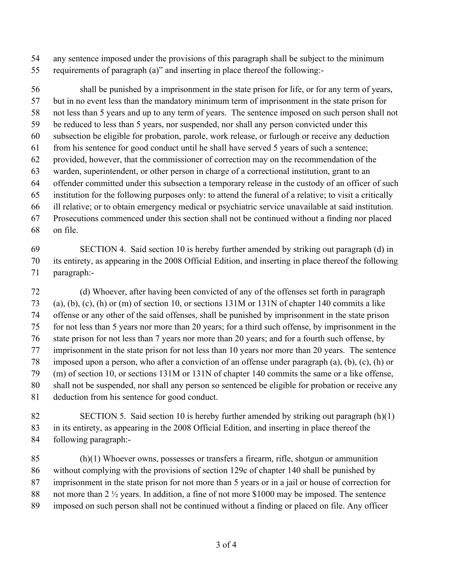any sentence imposed under the provisions of this paragraph shall be subject to the minimum

requirements of paragraph (a)" and inserting in place thereof the following:-

 shall be punished by a imprisonment in the state prison for life, or for any term of years, but in no event less than the mandatory minimum term of imprisonment in the state prison for not less than 5 years and up to any term of years. The sentence imposed on such person shall not be reduced to less than 5 years, nor suspended, nor shall any person convicted under this subsection be eligible for probation, parole, work release, or furlough or receive any deduction from his sentence for good conduct until he shall have served 5 years of such a sentence; provided, however, that the commissioner of correction may on the recommendation of the warden, superintendent, or other person in charge of a correctional institution, grant to an offender committed under this subsection a temporary release in the custody of an officer of such institution for the following purposes only: to attend the funeral of a relative; to visit a critically ill relative; or to obtain emergency medical or psychiatric service unavailable at said institution. Prosecutions commenced under this section shall not be continued without a finding nor placed on file.

## SECTION 4. Said section 10 is hereby further amended by striking out paragraph (d) in its entirety, as appearing in the 2008 Official Edition, and inserting in place thereof the following paragraph:-

 (d) Whoever, after having been convicted of any of the offenses set forth in paragraph (a), (b), (c), (h) or (m) of section 10, or sections 131M or 131N of chapter 140 commits a like offense or any other of the said offenses, shall be punished by imprisonment in the state prison for not less than 5 years nor more than 20 years; for a third such offense, by imprisonment in the state prison for not less than 7 years nor more than 20 years; and for a fourth such offense, by imprisonment in the state prison for not less than 10 years nor more than 20 years. The sentence imposed upon a person, who after a conviction of an offense under paragraph (a), (b), (c), (h) or (m) of section 10, or sections 131M or 131N of chapter 140 commits the same or a like offense, shall not be suspended, nor shall any person so sentenced be eligible for probation or receive any deduction from his sentence for good conduct.

- SECTION 5. Said section 10 is hereby further amended by striking out paragraph (h)(1) in its entirety, as appearing in the 2008 Official Edition, and inserting in place thereof the following paragraph:-
- (h)(1) Whoever owns, possesses or transfers a firearm, rifle, shotgun or ammunition without complying with the provisions of section 129c of chapter 140 shall be punished by imprisonment in the state prison for not more than 5 years or in a jail or house of correction for 88 not more than 2 <sup>1/2</sup> years. In addition, a fine of not more \$1000 may be imposed. The sentence imposed on such person shall not be continued without a finding or placed on file. Any officer